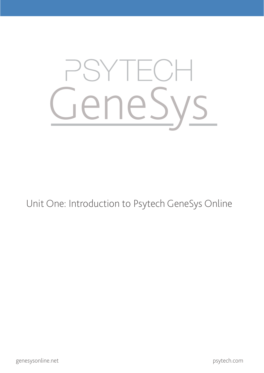

Unit One: Introduction to Psytech GeneSys Online

psytech.com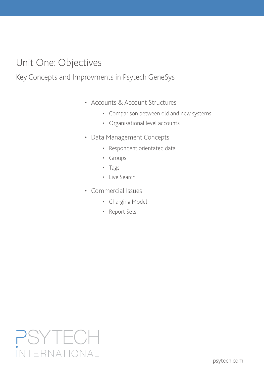# Unit One: Objectives

### Key Concepts and Improvments in Psytech GeneSys

- Accounts & Account Structures
	- • Comparison between old and new systems
	- • Organisational level accounts
- • Data Management Concepts
	- • Respondent orientated data
	- • Groups
	- • Tags
	- • Live Search
- • Commercial Issues
	- Charging Model
	- • Report Sets

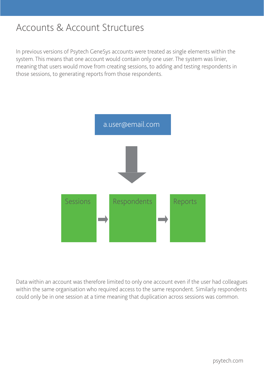### Accounts & Account Structures

In previous versions of Psytech GeneSys accounts were treated as single elements within the system. This means that one account would contain only one user. The system was linier, meaning that users would move from creating sessions, to adding and testing respondents in those sessions, to generating reports from those respondents.



Data within an account was therefore limited to only one account even if the user had colleagues within the same organisation who required access to the same respondent. Similarly respondents could only be in one session at a time meaning that duplication across sessions was common.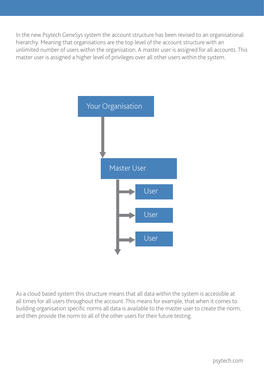In the new Psytech GeneSys system the account structure has been revised to an organisational hierarchy. Meaning that organisations are the top level of the account structure with an unlimited number of users within the organisation. A master user is assigned for all accounts. This master user is assigned a higher level of privileges over all other users within the system.



As a cloud based system this structure means that all data within the system is accessible at all times for all users throughout the account. This means for example, that when it comes to building organisation specific norms all data is available to the master user to create the norm, and then provide the norm to all of the other users for their future testing.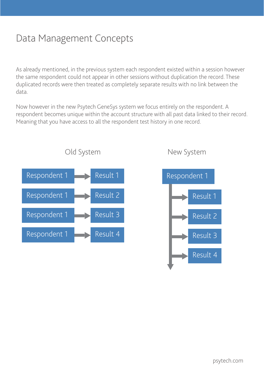# Data Management Concepts

As already mentioned, in the previous system each respondent existed within a session however the same respondent could not appear in other sessions without duplication the record. These duplicated records were then treated as completely separate results with no link between the data.

Now however in the new Psytech GeneSys system we focus entirely on the respondent. A respondent becomes unique within the account structure with all past data linked to their record. Meaning that you have access to all the respondent test history in one record.



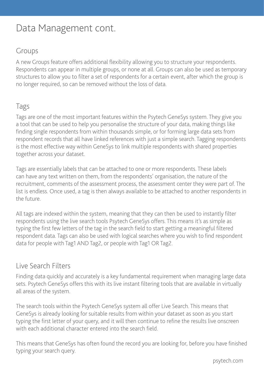## Data Management cont.

### Groups

A new Groups feature offers additional flexibility allowing you to structure your respondents. Respondents can appear in multiple groups, or none at all. Groups can also be used as temporary structures to allow you to filter a set of respondents for a certain event, after which the group is no longer required, so can be removed without the loss of data.

### Tags

Tags are one of the most important features within the Psytech GeneSys system. They give you a tool that can be used to help you personalise the structure of your data, making things like finding single respondents from within thousands simple, or for forming large data sets from respondent records that all have linked references with just a simple search. Tagging respondents is the most effective way within GeneSys to link multiple respondents with shared properties together across your dataset.

Tags are essentially labels that can be attached to one or more respondents. These labels can have any text written on them, from the respondents' organisation, the nature of the recruitment, comments of the assessment process, the assessment center they were part of. The list is endless. Once used, a tag is then always available to be attached to another respondents in the future.

All tags are indexed within the system, meaning that they can then be used to instantly filter respondents using the live search tools Psytech GeneSys offers. This means it's as simple as typing the first few letters of the tag in the search field to start getting a meaningful filtered respondent data. Tags can also be used with logical searches where you wish to find respondent data for people with Tag1 AND Tag2, or people with Tag1 OR Tag2.

#### Live Search Filters

Finding data quickly and accurately is a key fundamental requirement when managing large data sets. Psytech GeneSys offers this with its live instant filtering tools that are available in virtually all areas of the system.

The search tools within the Psytech GeneSys system all offer Live Search. This means that GeneSys is already looking for suitable results from within your dataset as soon as you start typing the first letter of your query, and it will then continue to refine the results live onscreen with each additional character entered into the search field.

This means that GeneSys has often found the record you are looking for, before you have finished typing your search query.